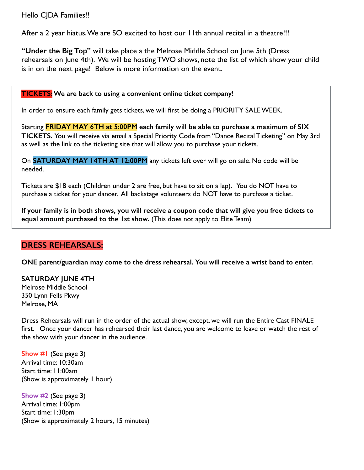## Hello CJDA Families!!

After a 2 year hiatus, We are SO excited to host our 11th annual recital in a theatre!!!

**"Under the Big Top"** will take place a the Melrose Middle School on June 5th (Dress rehearsals on June 4th). We will be hosting TWO shows, note the list of which show your child is in on the next page! Below is more information on the event.

### **TICKETS: We are back to using a convenient online ticket company!**

In order to ensure each family gets tickets, we will first be doing a PRIORITY SALE WEEK.

Starting **FRIDAY MAY 6TH at 5:00PM each family will be able to purchase a maximum of SIX TICKETS.** You will receive via email a Special Priority Code from "Dance Recital Ticketing" on May 3rd as well as the link to the ticketing site that will allow you to purchase your tickets.

On **SATURDAY MAY 14TH AT 12:00PM** any tickets left over will go on sale. No code will be needed.

Tickets are \$18 each (Children under 2 are free, but have to sit on a lap). You do NOT have to purchase a ticket for your dancer. All backstage volunteers do NOT have to purchase a ticket.

**If your family is in both shows, you will receive a coupon code that will give you free tickets to equal amount purchased to the 1st show.** (This does not apply to Elite Team)

## **DRESS REHEARSALS:**

**ONE parent/guardian may come to the dress rehearsal. You will receive a wrist band to enter.**

**SATURDAY JUNE 4TH**  Melrose Middle School

350 Lynn Fells Pkwy Melrose, MA

Dress Rehearsals will run in the order of the actual show, except, we will run the Entire Cast FINALE first. Once your dancer has rehearsed their last dance, you are welcome to leave or watch the rest of the show with your dancer in the audience.

**Show #1** (See page 3) Arrival time: 10:30am Start time: 11:00am (Show is approximately 1 hour)

**Show #2** (See page 3) Arrival time: 1:00pm Start time: 1:30pm (Show is approximately 2 hours, 15 minutes)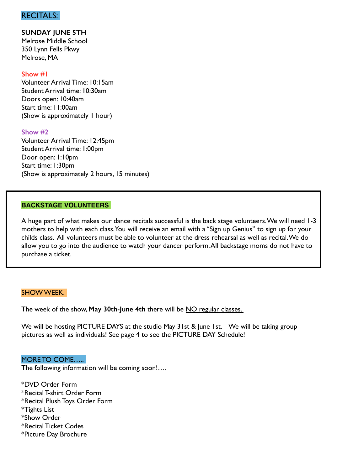## RECITALS:

**SUNDAY JUNE 5TH**  Melrose Middle School 350 Lynn Fells Pkwy Melrose, MA

### **Show #1**

Volunteer Arrival Time: 10:15am Student Arrival time: 10:30am Doors open: 10:40am Start time: 11:00am (Show is approximately 1 hour)

### **Show #2**

Volunteer Arrival Time: 12:45pm Student Arrival time: 1:00pm Door open: 1:10pm Start time: 1:30pm (Show is approximately 2 hours, 15 minutes)

#### **BACKSTAGE VOLUNTEERS**

A huge part of what makes our dance recitals successful is the back stage volunteers. We will need 1-3 mothers to help with each class. You will receive an email with a "Sign up Genius" to sign up for your childs class. All volunteers must be able to volunteer at the dress rehearsal as well as recital. We do allow you to go into the audience to watch your dancer perform. All backstage moms do not have to purchase a ticket.

#### SHOW WEEK:

The week of the show, **May 30th-June 4th** there will be NO regular classes.

We will be hosting PICTURE DAYS at the studio May 31st & June 1st. We will be taking group pictures as well as individuals! See page 4 to see the PICTURE DAY Schedule!

### MORE TO COME…..

The following information will be coming soon!….

\*DVD Order Form \*Recital T-shirt Order Form \*Recital Plush Toys Order Form \*Tights List \*Show Order \*Recital Ticket Codes \*Picture Day Brochure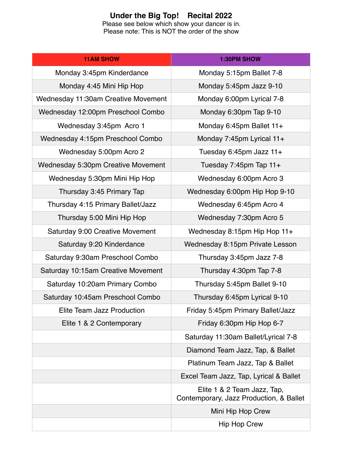## **Under the Big Top! Recital 2022**

Please see below which show your dancer is in. Please note: This is NOT the order of the show

| <b>11AM SHOW</b>                    | <b>1:30PM SHOW</b>                                                     |
|-------------------------------------|------------------------------------------------------------------------|
| Monday 3:45pm Kinderdance           | Monday 5:15pm Ballet 7-8                                               |
| Monday 4:45 Mini Hip Hop            | Monday 5:45pm Jazz 9-10                                                |
| Wednesday 11:30am Creative Movement | Monday 6:00pm Lyrical 7-8                                              |
| Wednesday 12:00pm Preschool Combo   | Monday 6:30pm Tap 9-10                                                 |
| Wednesday 3:45pm Acro 1             | Monday 6:45pm Ballet 11+                                               |
| Wednesday 4:15pm Preschool Combo    | Monday 7:45pm Lyrical 11+                                              |
| Wednesday 5:00pm Acro 2             | Tuesday 6:45pm Jazz 11+                                                |
| Wednesday 5:30pm Creative Movement  | Tuesday 7:45pm Tap 11+                                                 |
| Wednesday 5:30pm Mini Hip Hop       | Wednesday 6:00pm Acro 3                                                |
| Thursday 3:45 Primary Tap           | Wednesday 6:00pm Hip Hop 9-10                                          |
| Thursday 4:15 Primary Ballet/Jazz   | Wednesday 6:45pm Acro 4                                                |
| Thursday 5:00 Mini Hip Hop          | Wednesday 7:30pm Acro 5                                                |
| Saturday 9:00 Creative Movement     | Wednesday 8:15pm Hip Hop 11+                                           |
| Saturday 9:20 Kinderdance           | Wednesday 8:15pm Private Lesson                                        |
| Saturday 9:30am Preschool Combo     | Thursday 3:45pm Jazz 7-8                                               |
| Saturday 10:15am Creative Movement  | Thursday 4:30pm Tap 7-8                                                |
| Saturday 10:20am Primary Combo      | Thursday 5:45pm Ballet 9-10                                            |
| Saturday 10:45am Preschool Combo    | Thursday 6:45pm Lyrical 9-10                                           |
| Elite Team Jazz Production          | Friday 5:45pm Primary Ballet/Jazz                                      |
| Elite 1 & 2 Contemporary            | Friday 6:30pm Hip Hop 6-7                                              |
|                                     | Saturday 11:30am Ballet/Lyrical 7-8                                    |
|                                     | Diamond Team Jazz, Tap, & Ballet                                       |
|                                     | Platinum Team Jazz, Tap & Ballet                                       |
|                                     | Excel Team Jazz, Tap, Lyrical & Ballet                                 |
|                                     | Elite 1 & 2 Team Jazz, Tap,<br>Contemporary, Jazz Production, & Ballet |
|                                     | Mini Hip Hop Crew                                                      |
|                                     | <b>Hip Hop Crew</b>                                                    |